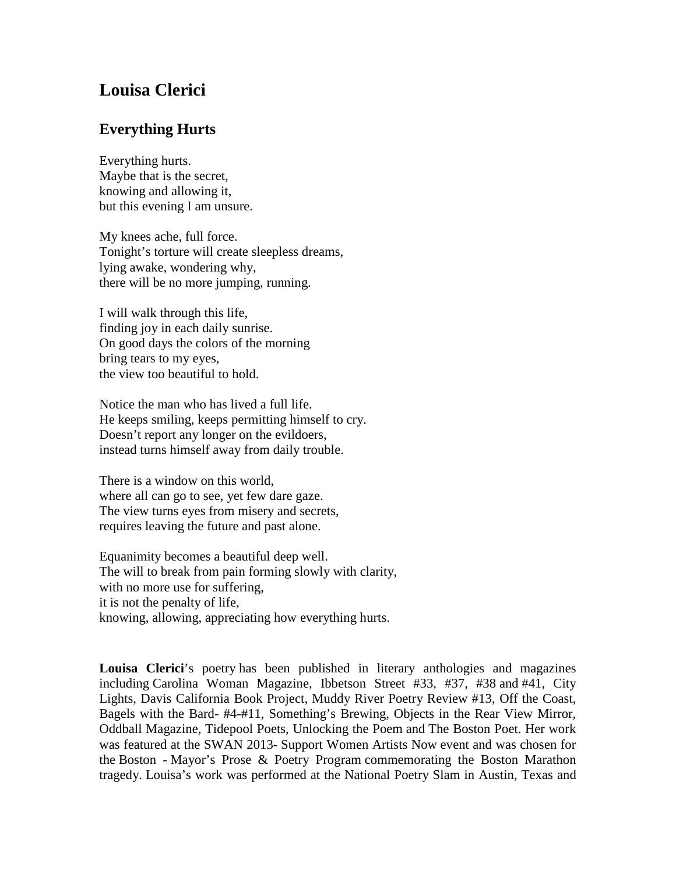## **Louisa Clerici**

## **Everything Hurts**

Everything hurts. Maybe that is the secret, knowing and allowing it, but this evening I am unsure.

My knees ache, full force. Tonight's torture will create sleepless dreams, lying awake, wondering why, there will be no more jumping, running.

I will walk through this life, finding joy in each daily sunrise. On good days the colors of the morning bring tears to my eyes, the view too beautiful to hold.

Notice the man who has lived a full life. He keeps smiling, keeps permitting himself to cry. Doesn't report any longer on the evildoers, instead turns himself away from daily trouble.

There is a window on this world, where all can go to see, yet few dare gaze. The view turns eyes from misery and secrets, requires leaving the future and past alone.

Equanimity becomes a beautiful deep well. The will to break from pain forming slowly with clarity, with no more use for suffering, it is not the penalty of life, knowing, allowing, appreciating how everything hurts.

**Louisa Clerici**'s poetry has been published in literary anthologies and magazines including Carolina Woman Magazine, Ibbetson Street #33, #37, #38 and #41, City Lights, Davis California Book Project, Muddy River Poetry Review #13, Off the Coast, Bagels with the Bard- #4-#11, Something's Brewing, Objects in the Rear View Mirror, Oddball Magazine, Tidepool Poets, Unlocking the Poem and The Boston Poet. Her work was featured at the SWAN 2013- Support Women Artists Now event and was chosen for the Boston - Mayor's Prose & Poetry Program commemorating the Boston Marathon tragedy. Louisa's work was performed at the National Poetry Slam in Austin, Texas and